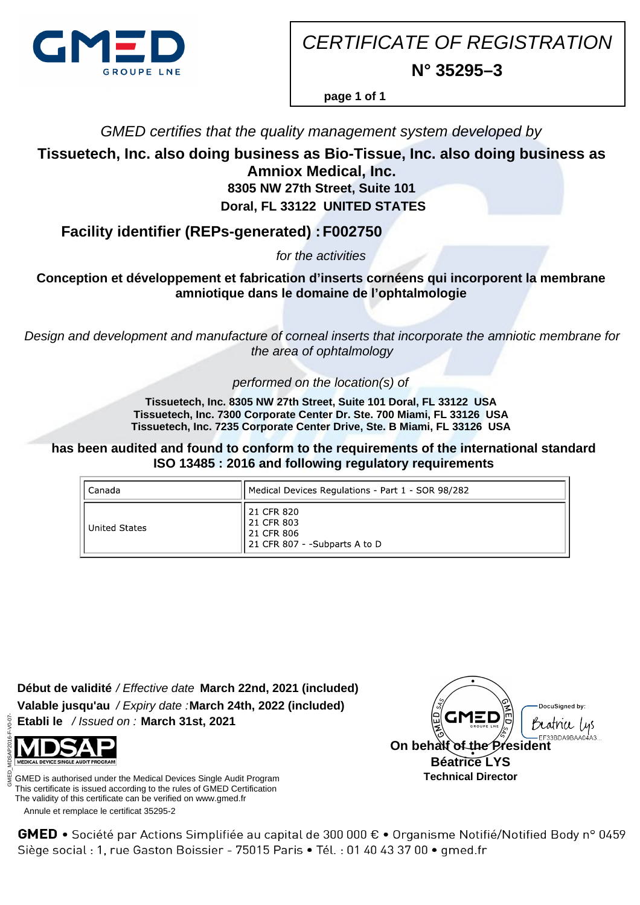

CERTIFICATE OF REGISTRATION **N° 35295–3**

**page 1 of 1**

GMED certifies that the quality management system developed by

**Tissuetech, Inc. also doing business as Bio-Tissue, Inc. also doing business as Amniox Medical, Inc.**

**8305 NW 27th Street, Suite 101 Doral, FL 33122 UNITED STATES**

**Facility identifier (REPs-generated) : F002750**

for the activities

**Conception et développement et fabrication d'inserts cornéens qui incorporent la membrane amniotique dans le domaine de l'ophtalmologie**

Design and development and manufacture of corneal inserts that incorporate the amniotic membrane for the area of ophtalmology

performed on the location(s) of

**Tissuetech, Inc. 8305 NW 27th Street, Suite 101 Doral, FL 33122 USA Tissuetech, Inc. 7300 Corporate Center Dr. Ste. 700 Miami, FL 33126 USA Tissuetech, Inc. 7235 Corporate Center Drive, Ste. B Miami, FL 33126 USA**

**has been audited and found to conform to the requirements of the international standard ISO 13485 : 2016 and following regulatory requirements**

| Canada        | Medical Devices Regulations - Part 1 - SOR 98/282                       |
|---------------|-------------------------------------------------------------------------|
| United States | 21 CFR 820<br>21 CFR 803<br>21 CFR 806<br>21 CFR 807 - -Subparts A to D |

**Début de validité** / Effective date **March 22nd, 2021 (included) Valable jusqu'au** / Expiry date : **March 24th, 2022 (included) Etabli le** / Issued on : **March 31st, 2021**



GMED is authorised under the Medical Devices Single Audit Program This certificate is issued according to the rules of GMED Certification The validity of this certificate can be verified on www.gmed.fr

Annule et remplace le certificat 35295-2



GMED • Société par Actions Simplifiée au capital de 300 000 € • Organisme Notifié/Notified Body n° 0459 Siège social : 1, rue Gaston Boissier - 75015 Paris · Tél. : 01 40 43 37 00 · gmed.fr